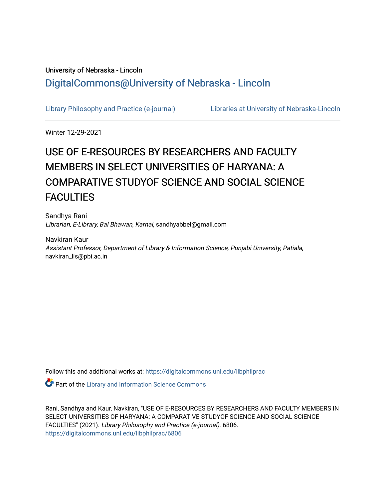# University of Nebraska - Lincoln [DigitalCommons@University of Nebraska - Lincoln](https://digitalcommons.unl.edu/)

[Library Philosophy and Practice \(e-journal\)](https://digitalcommons.unl.edu/libphilprac) [Libraries at University of Nebraska-Lincoln](https://digitalcommons.unl.edu/libraries) 

Winter 12-29-2021

# USE OF E-RESOURCES BY RESEARCHERS AND FACULTY MEMBERS IN SELECT UNIVERSITIES OF HARYANA: A COMPARATIVE STUDYOF SCIENCE AND SOCIAL SCIENCE **FACULTIES**

Sandhya Rani Librarian, E-Library, Bal Bhawan, Karnal, sandhyabbel@gmail.com

Navkiran Kaur Assistant Professor, Department of Library & Information Science, Punjabi University, Patiala, navkiran\_lis@pbi.ac.in

Follow this and additional works at: [https://digitalcommons.unl.edu/libphilprac](https://digitalcommons.unl.edu/libphilprac?utm_source=digitalcommons.unl.edu%2Flibphilprac%2F6806&utm_medium=PDF&utm_campaign=PDFCoverPages) 

**Part of the Library and Information Science Commons** 

Rani, Sandhya and Kaur, Navkiran, "USE OF E-RESOURCES BY RESEARCHERS AND FACULTY MEMBERS IN SELECT UNIVERSITIES OF HARYANA: A COMPARATIVE STUDYOF SCIENCE AND SOCIAL SCIENCE FACULTIES" (2021). Library Philosophy and Practice (e-journal). 6806. [https://digitalcommons.unl.edu/libphilprac/6806](https://digitalcommons.unl.edu/libphilprac/6806?utm_source=digitalcommons.unl.edu%2Flibphilprac%2F6806&utm_medium=PDF&utm_campaign=PDFCoverPages)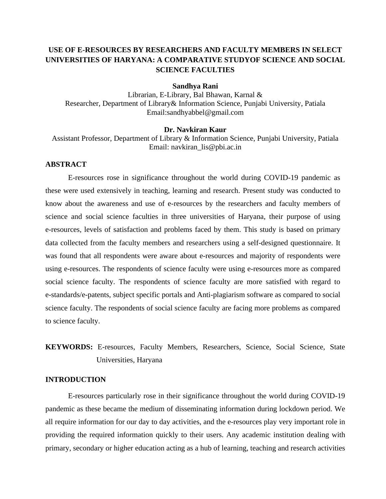# **USE OF E-RESOURCES BY RESEARCHERS AND FACULTY MEMBERS IN SELECT UNIVERSITIES OF HARYANA: A COMPARATIVE STUDYOF SCIENCE AND SOCIAL SCIENCE FACULTIES**

#### **Sandhya Rani**

Librarian, E-Library, Bal Bhawan, Karnal & Researcher, Department of Library& Information Science, Punjabi University, Patiala Email:sandhyabbel@gmail.com

#### **Dr. Navkiran Kaur**

Assistant Professor, Department of Library & Information Science, Punjabi University, Patiala Email: navkiran\_lis@pbi.ac.in

# **ABSTRACT**

E-resources rose in significance throughout the world during COVID-19 pandemic as these were used extensively in teaching, learning and research. Present study was conducted to know about the awareness and use of e-resources by the researchers and faculty members of science and social science faculties in three universities of Haryana, their purpose of using e-resources, levels of satisfaction and problems faced by them. This study is based on primary data collected from the faculty members and researchers using a self-designed questionnaire. It was found that all respondents were aware about e-resources and majority of respondents were using e-resources. The respondents of science faculty were using e-resources more as compared social science faculty. The respondents of science faculty are more satisfied with regard to e-standards/e-patents, subject specific portals and Anti-plagiarism software as compared to social science faculty. The respondents of social science faculty are facing more problems as compared to science faculty.

**KEYWORDS:** E-resources, Faculty Members, Researchers, Science, Social Science, State Universities, Haryana

#### **INTRODUCTION**

E-resources particularly rose in their significance throughout the world during COVID-19 pandemic as these became the medium of disseminating information during lockdown period. We all require information for our day to day activities, and the e-resources play very important role in providing the required information quickly to their users. Any academic institution dealing with primary, secondary or higher education acting as a hub of learning, teaching and research activities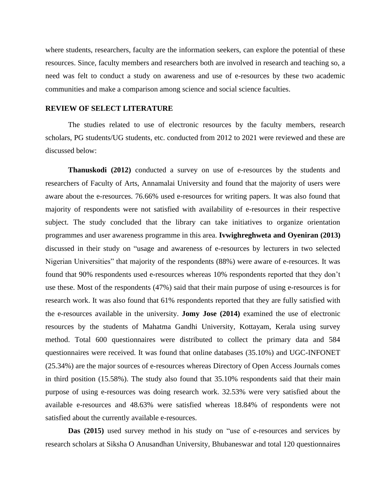where students, researchers, faculty are the information seekers, can explore the potential of these resources. Since, faculty members and researchers both are involved in research and teaching so, a need was felt to conduct a study on awareness and use of e-resources by these two academic communities and make a comparison among science and social science faculties.

#### **REVIEW OF SELECT LITERATURE**

The studies related to use of electronic resources by the faculty members, research scholars, PG students/UG students, etc. conducted from 2012 to 2021 were reviewed and these are discussed below:

**Thanuskodi (2012)** conducted a survey on use of e-resources by the students and researchers of Faculty of Arts, Annamalai University and found that the majority of users were aware about the e-resources. 76.66% used e-resources for writing papers. It was also found that majority of respondents were not satisfied with availability of e-resources in their respective subject. The study concluded that the library can take initiatives to organize orientation programmes and user awareness programme in this area. **Ivwighreghweta and Oyeniran (2013)**  discussed in their study on "usage and awareness of e-resources by lecturers in two selected Nigerian Universities" that majority of the respondents (88%) were aware of e-resources. It was found that 90% respondents used e-resources whereas 10% respondents reported that they don't use these. Most of the respondents (47%) said that their main purpose of using e-resources is for research work. It was also found that 61% respondents reported that they are fully satisfied with the e-resources available in the university. **Jomy Jose (2014)** examined the use of electronic resources by the students of Mahatma Gandhi University, Kottayam, Kerala using survey method. Total 600 questionnaires were distributed to collect the primary data and 584 questionnaires were received. It was found that online databases (35.10%) and UGC-INFONET (25.34%) are the major sources of e-resources whereas Directory of Open Access Journals comes in third position (15.58%). The study also found that 35.10% respondents said that their main purpose of using e-resources was doing research work. 32.53% were very satisfied about the available e-resources and 48.63% were satisfied whereas 18.84% of respondents were not satisfied about the currently available e-resources.

**Das (2015)** used survey method in his study on "use of e-resources and services by research scholars at Siksha O Anusandhan University, Bhubaneswar and total 120 questionnaires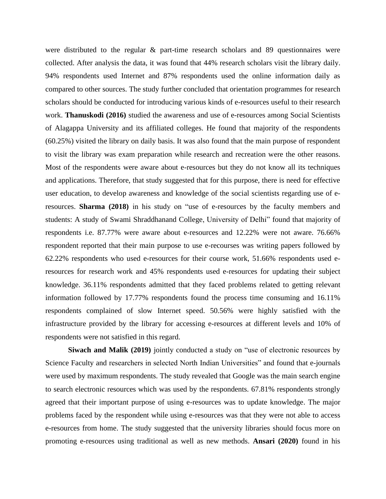were distributed to the regular & part-time research scholars and 89 questionnaires were collected. After analysis the data, it was found that 44% research scholars visit the library daily. 94% respondents used Internet and 87% respondents used the online information daily as compared to other sources. The study further concluded that orientation programmes for research scholars should be conducted for introducing various kinds of e-resources useful to their research work. **Thanuskodi (2016)** studied the awareness and use of e-resources among Social Scientists of Alagappa University and its affiliated colleges. He found that majority of the respondents (60.25%) visited the library on daily basis. It was also found that the main purpose of respondent to visit the library was exam preparation while research and recreation were the other reasons. Most of the respondents were aware about e-resources but they do not know all its techniques and applications. Therefore, that study suggested that for this purpose, there is need for effective user education, to develop awareness and knowledge of the social scientists regarding use of eresources. **Sharma (2018)** in his study on "use of e-resources by the faculty members and students: A study of Swami Shraddhanand College, University of Delhi" found that majority of respondents i.e. 87.77% were aware about e-resources and 12.22% were not aware. 76.66% respondent reported that their main purpose to use e-recourses was writing papers followed by 62.22% respondents who used e-resources for their course work, 51.66% respondents used eresources for research work and 45% respondents used e-resources for updating their subject knowledge. 36.11% respondents admitted that they faced problems related to getting relevant information followed by 17.77% respondents found the process time consuming and 16.11% respondents complained of slow Internet speed. 50.56% were highly satisfied with the infrastructure provided by the library for accessing e-resources at different levels and 10% of respondents were not satisfied in this regard.

**Siwach and Malik (2019)** jointly conducted a study on "use of electronic resources by Science Faculty and researchers in selected North Indian Universities" and found that e-journals were used by maximum respondents. The study revealed that Google was the main search engine to search electronic resources which was used by the respondents. 67.81% respondents strongly agreed that their important purpose of using e-resources was to update knowledge. The major problems faced by the respondent while using e-resources was that they were not able to access e-resources from home. The study suggested that the university libraries should focus more on promoting e-resources using traditional as well as new methods. **Ansari (2020)** found in his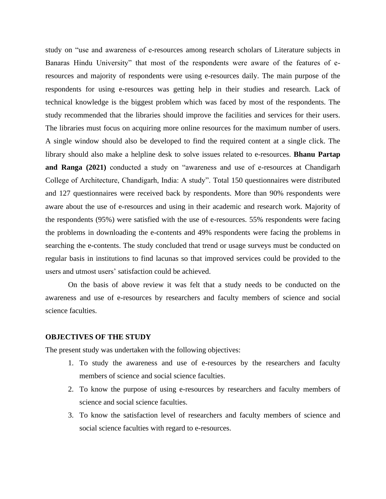study on "use and awareness of e-resources among research scholars of Literature subjects in Banaras Hindu University" that most of the respondents were aware of the features of eresources and majority of respondents were using e-resources daily. The main purpose of the respondents for using e-resources was getting help in their studies and research. Lack of technical knowledge is the biggest problem which was faced by most of the respondents. The study recommended that the libraries should improve the facilities and services for their users. The libraries must focus on acquiring more online resources for the maximum number of users. A single window should also be developed to find the required content at a single click. The library should also make a helpline desk to solve issues related to e-resources. **Bhanu Partap and Ranga (2021)** conducted a study on "awareness and use of e-resources at Chandigarh College of Architecture, Chandigarh, India: A study". Total 150 questionnaires were distributed and 127 questionnaires were received back by respondents. More than 90% respondents were aware about the use of e-resources and using in their academic and research work. Majority of the respondents (95%) were satisfied with the use of e-resources. 55% respondents were facing the problems in downloading the e-contents and 49% respondents were facing the problems in searching the e-contents. The study concluded that trend or usage surveys must be conducted on regular basis in institutions to find lacunas so that improved services could be provided to the users and utmost users' satisfaction could be achieved.

On the basis of above review it was felt that a study needs to be conducted on the awareness and use of e-resources by researchers and faculty members of science and social science faculties.

#### **OBJECTIVES OF THE STUDY**

The present study was undertaken with the following objectives:

- 1. To study the awareness and use of e-resources by the researchers and faculty members of science and social science faculties.
- 2. To know the purpose of using e-resources by researchers and faculty members of science and social science faculties.
- 3. To know the satisfaction level of researchers and faculty members of science and social science faculties with regard to e-resources.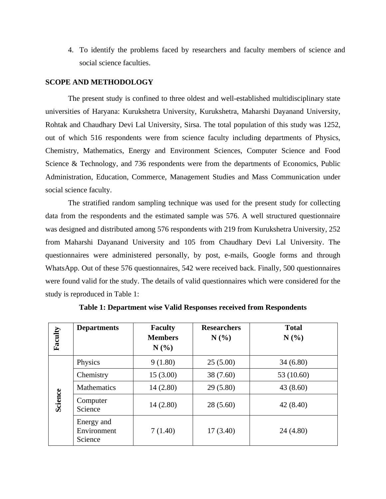4. To identify the problems faced by researchers and faculty members of science and social science faculties.

#### **SCOPE AND METHODOLOGY**

The present study is confined to three oldest and well-established multidisciplinary state universities of Haryana: Kurukshetra University, Kurukshetra, Maharshi Dayanand University, Rohtak and Chaudhary Devi Lal University, Sirsa. The total population of this study was 1252, out of which 516 respondents were from science faculty including departments of Physics, Chemistry, Mathematics, Energy and Environment Sciences, Computer Science and Food Science & Technology, and 736 respondents were from the departments of Economics, Public Administration, Education, Commerce, Management Studies and Mass Communication under social science faculty.

The stratified random sampling technique was used for the present study for collecting data from the respondents and the estimated sample was 576. A well structured questionnaire was designed and distributed among 576 respondents with 219 from Kurukshetra University, 252 from Maharshi Dayanand University and 105 from Chaudhary Devi Lal University. The questionnaires were administered personally, by post, e-mails, Google forms and through WhatsApp. Out of these 576 questionnaires, 542 were received back. Finally, 500 questionnaires were found valid for the study. The details of valid questionnaires which were considered for the study is reproduced in Table 1:

| Faculty | <b>Departments</b>                   | <b>Faculty</b><br><b>Members</b><br>$N(\%)$ | <b>Researchers</b><br>N(%) | <b>Total</b><br>N(%) |
|---------|--------------------------------------|---------------------------------------------|----------------------------|----------------------|
|         | Physics                              | 9(1.80)                                     | 25(5.00)                   | 34(6.80)             |
|         | Chemistry                            | 15(3.00)                                    | 38 (7.60)                  | 53 (10.60)           |
|         | <b>Mathematics</b>                   | 14(2.80)                                    | 29(5.80)                   | 43(8.60)             |
| Science | Computer<br>Science                  | 14(2.80)                                    | 28(5.60)                   | 42 (8.40)            |
|         | Energy and<br>Environment<br>Science | 7(1.40)                                     | 17(3.40)                   | 24(4.80)             |

**Table 1: Department wise Valid Responses received from Respondents**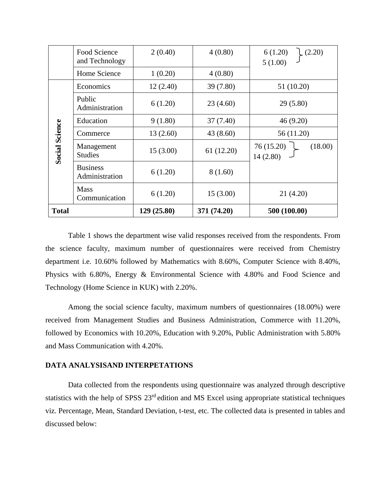|                       | Food Science                      | 2(0.40)     | 4(0.80)     | 6(1.20)<br>(2.20)                 |
|-----------------------|-----------------------------------|-------------|-------------|-----------------------------------|
|                       | and Technology<br>Home Science    | 1(0.20)     | 4(0.80)     | 5(1.00)                           |
|                       |                                   |             |             |                                   |
|                       | Economics                         | 12(2.40)    | 39 (7.80)   | 51(10.20)                         |
|                       | Public<br>Administration          | 6(1.20)     | 23(4.60)    | 29(5.80)                          |
|                       | Education                         | 9(1.80)     | 37 (7.40)   | 46(9.20)                          |
|                       | Commerce                          | 13(2.60)    | 43 (8.60)   | 56 (11.20)                        |
| <b>Social Science</b> | Management<br><b>Studies</b>      | 15(3.00)    | 61 (12.20)  | 76 (15.20)<br>(18.00)<br>14(2.80) |
|                       | <b>Business</b><br>Administration | 6(1.20)     | 8(1.60)     |                                   |
|                       | <b>Mass</b><br>Communication      | 6(1.20)     | 15(3.00)    | 21 (4.20)                         |
| <b>Total</b>          |                                   | 129 (25.80) | 371 (74.20) | 500 (100.00)                      |

Table 1 shows the department wise valid responses received from the respondents. From the science faculty, maximum number of questionnaires were received from Chemistry department i.e. 10.60% followed by Mathematics with 8.60%, Computer Science with 8.40%, Physics with 6.80%, Energy & Environmental Science with 4.80% and Food Science and Technology (Home Science in KUK) with 2.20%.

Among the social science faculty, maximum numbers of questionnaires (18.00%) were received from Management Studies and Business Administration, Commerce with 11.20%, followed by Economics with 10.20%, Education with 9.20%, Public Administration with 5.80% and Mass Communication with 4.20%.

#### **DATA ANALYSISAND INTERPETATIONS**

Data collected from the respondents using questionnaire was analyzed through descriptive statistics with the help of SPSS 23<sup>rd</sup> edition and MS Excel using appropriate statistical techniques viz. Percentage, Mean, Standard Deviation, t-test, etc. The collected data is presented in tables and discussed below: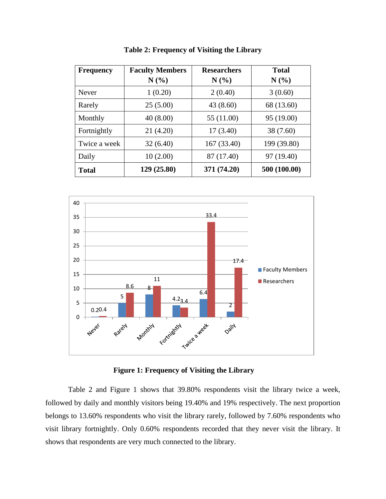| <b>Frequency</b> | <b>Faculty Members</b><br>N(%) | <b>Researchers</b><br>$N(\%)$ | <b>Total</b><br>$N(\%)$ |
|------------------|--------------------------------|-------------------------------|-------------------------|
| Never            | 1(0.20)                        | 2(0.40)                       | 3(0.60)                 |
| Rarely           | 25(5.00)                       | 43 (8.60)                     | 68 (13.60)              |
| Monthly          | 40(8.00)                       | 55 (11.00)                    | 95 (19.00)              |
| Fortnightly      | 21 (4.20)                      | 17(3.40)                      | 38 (7.60)               |
| Twice a week     | 32(6.40)                       | 167 (33.40)                   | 199 (39.80)             |
| Daily            | 10(2.00)                       | 87 (17.40)                    | 97 (19.40)              |
| <b>Total</b>     | 129 (25.80)                    | 371 (74.20)                   | 500 (100.00)            |

**Table 2: Frequency of Visiting the Library**



**Figure 1: Frequency of Visiting the Library**

Table 2 and Figure 1 shows that 39.80% respondents visit the library twice a week, followed by daily and monthly visitors being 19.40% and 19% respectively. The next proportion belongs to 13.60% respondents who visit the library rarely, followed by 7.60% respondents who visit library fortnightly. Only 0.60% respondents recorded that they never visit the library. It shows that respondents are very much connected to the library.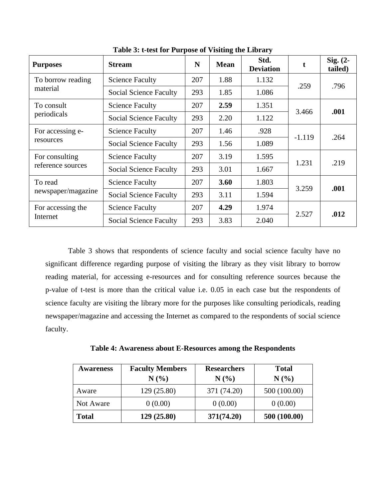| <b>Purposes</b>               | <b>Stream</b>                 | N   | <b>Mean</b> | Std.<br><b>Deviation</b> | t        | Sig. (2-<br>tailed) |
|-------------------------------|-------------------------------|-----|-------------|--------------------------|----------|---------------------|
| To borrow reading             | <b>Science Faculty</b>        | 207 | 1.88        | 1.132                    | .259     | .796                |
| material                      | <b>Social Science Faculty</b> | 293 | 1.85        | 1.086                    |          |                     |
| To consult                    | <b>Science Faculty</b>        | 207 | 2.59        | 1.351                    |          |                     |
| periodicals                   | Social Science Faculty        | 293 | 2.20        | 1.122                    | 3.466    | .001                |
| For accessing e-<br>resources | <b>Science Faculty</b>        | 207 | 1.46        | .928                     | $-1.119$ | .264                |
|                               | <b>Social Science Faculty</b> | 293 | 1.56        | 1.089                    |          |                     |
| For consulting                | <b>Science Faculty</b>        | 207 | 3.19        | 1.595                    |          | .219                |
| reference sources             | Social Science Faculty        | 293 | 3.01        | 1.667                    | 1.231    |                     |
| To read                       | <b>Science Faculty</b>        | 207 | 3.60        | 1.803                    |          | .001                |
| newspaper/magazine            | Social Science Faculty        | 293 | 3.11        | 1.594                    | 3.259    |                     |
| For accessing the             | <b>Science Faculty</b>        | 207 | 4.29        | 1.974                    |          | .012                |
| Internet                      | Social Science Faculty        | 293 | 3.83        | 2.040                    | 2.527    |                     |

**Table 3: t-test for Purpose of Visiting the Library**

Table 3 shows that respondents of science faculty and social science faculty have no significant difference regarding purpose of visiting the library as they visit library to borrow reading material, for accessing e-resources and for consulting reference sources because the p-value of t-test is more than the critical value i.e. 0.05 in each case but the respondents of science faculty are visiting the library more for the purposes like consulting periodicals, reading newspaper/magazine and accessing the Internet as compared to the respondents of social science faculty.

| Table 4: Awareness about E-Resources among the Respondents |  |
|------------------------------------------------------------|--|
|                                                            |  |

| <b>Awareness</b> | <b>Faculty Members</b> | <b>Researchers</b> | <b>Total</b> |
|------------------|------------------------|--------------------|--------------|
|                  | N(%                    | N(%)               | N(%)         |
| Aware            | 129(25.80)             | 371 (74.20)        | 500 (100.00) |
| Not Aware        | 0(0.00)                | 0(0.00)            | 0(0.00)      |
| <b>Total</b>     | 129 (25.80)            | 371(74.20)         | 500 (100.00) |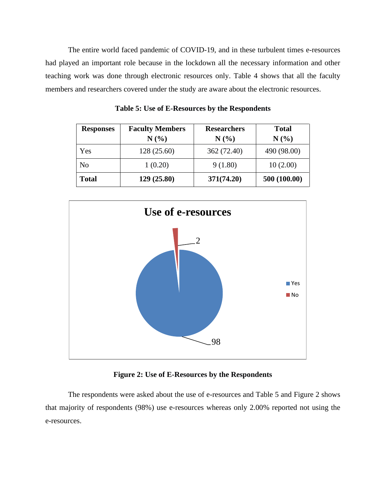The entire world faced pandemic of COVID-19, and in these turbulent times e-resources had played an important role because in the lockdown all the necessary information and other teaching work was done through electronic resources only. Table 4 shows that all the faculty members and researchers covered under the study are aware about the electronic resources.

| <b>Responses</b> | <b>Faculty Members</b><br>N(%) | <b>Researchers</b><br>N(%) | <b>Total</b><br>N(%) |
|------------------|--------------------------------|----------------------------|----------------------|
| Yes              | 128 (25.60)                    | 362 (72.40)                | 490 (98.00)          |
| N <sub>o</sub>   | 1(0.20)                        | 9(1.80)                    | 10(2.00)             |
| <b>Total</b>     | 129(25.80)                     | 371(74.20)                 | 500 (100.00)         |

**Table 5: Use of E-Resources by the Respondents**



## **Figure 2: Use of E-Resources by the Respondents**

The respondents were asked about the use of e-resources and Table 5 and Figure 2 shows that majority of respondents (98%) use e-resources whereas only 2.00% reported not using the e-resources.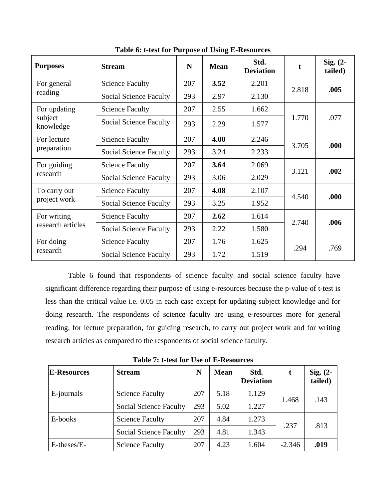| <b>Purposes</b>      | <b>Stream</b>                 | N   | <b>Mean</b> | Std.<br><b>Deviation</b> |       | $Sig. (2-$<br>tailed) |
|----------------------|-------------------------------|-----|-------------|--------------------------|-------|-----------------------|
| For general          | <b>Science Faculty</b>        | 207 | 3.52        | 2.201                    | 2.818 | .005                  |
| reading              | <b>Social Science Faculty</b> | 293 | 2.97        | 2.130                    |       |                       |
| For updating         | <b>Science Faculty</b>        | 207 | 2.55        | 1.662                    |       |                       |
| subject<br>knowledge | Social Science Faculty        | 293 | 2.29        | 1.577                    | 1.770 | .077                  |
| For lecture          | <b>Science Faculty</b>        | 207 | 4.00        | 2.246                    | 3.705 | .000                  |
| preparation          | <b>Social Science Faculty</b> | 293 | 3.24        | 2.233                    |       |                       |
| For guiding          | <b>Science Faculty</b>        | 207 | 3.64        | 2.069                    | 3.121 | .002                  |
| research             | Social Science Faculty        | 293 | 3.06        | 2.029                    |       |                       |
| To carry out         | <b>Science Faculty</b>        | 207 | 4.08        | 2.107                    |       |                       |
| project work         | Social Science Faculty        | 293 | 3.25        | 1.952                    | 4.540 | .000                  |
| For writing          | <b>Science Faculty</b>        | 207 | 2.62        | 1.614                    | 2.740 | .006                  |
| research articles    | <b>Social Science Faculty</b> | 293 | 2.22        | 1.580                    |       |                       |
| For doing            | <b>Science Faculty</b>        | 207 | 1.76        | 1.625                    |       |                       |
| research             | Social Science Faculty        | 293 | 1.72        | 1.519                    | .294  | .769                  |

**Table 6: t-test for Purpose of Using E-Resources**

Table 6 found that respondents of science faculty and social science faculty have significant difference regarding their purpose of using e-resources because the p-value of t-test is less than the critical value i.e. 0.05 in each case except for updating subject knowledge and for doing research. The respondents of science faculty are using e-resources more for general reading, for lecture preparation, for guiding research, to carry out project work and for writing research articles as compared to the respondents of social science faculty.

**Table 7: t-test for Use of E-Resources** 

| <b>E-Resources</b> | <b>Stream</b>                 | N   | <b>Mean</b> | Std.<br><b>Deviation</b> |               | Sig. $(2-$<br>tailed) |
|--------------------|-------------------------------|-----|-------------|--------------------------|---------------|-----------------------|
| E-journals         | <b>Science Faculty</b>        | 207 | 5.18        | 1.129                    | 1.468<br>.143 |                       |
|                    | Social Science Faculty        | 293 | 5.02        | 1.227                    |               |                       |
| E-books            | <b>Science Faculty</b>        | 207 | 4.84        | 1.273                    |               | .813                  |
|                    | <b>Social Science Faculty</b> | 293 | 4.81        | 1.343                    | .237          |                       |
| E-theses/E-        | <b>Science Faculty</b>        | 207 | 4.23        | 1.604                    | $-2.346$      | .019                  |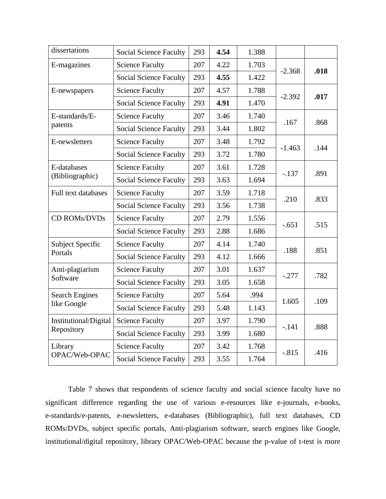| dissertations           | <b>Social Science Faculty</b> | 293 | 4.54 | 1.388 |          |      |
|-------------------------|-------------------------------|-----|------|-------|----------|------|
| E-magazines             | <b>Science Faculty</b>        | 207 | 4.22 | 1.703 |          | .018 |
|                         | <b>Social Science Faculty</b> | 293 | 4.55 | 1.422 | $-2.368$ |      |
| E-newspapers            | <b>Science Faculty</b>        | 207 | 4.57 | 1.788 | $-2.392$ | .017 |
|                         | <b>Social Science Faculty</b> | 293 | 4.91 | 1.470 |          |      |
| E-standards/E-          | <b>Science Faculty</b>        | 207 | 3.46 | 1.740 | .167     | .868 |
| patents                 | <b>Social Science Faculty</b> | 293 | 3.44 | 1.802 |          |      |
| E-newsletters           | <b>Science Faculty</b>        | 207 | 3.48 | 1.792 |          | .144 |
|                         | <b>Social Science Faculty</b> | 293 | 3.72 | 1.780 | $-1.463$ |      |
| E-databases             | <b>Science Faculty</b>        | 207 | 3.61 | 1.728 | $-.137$  | .891 |
| (Bibliographic)         | <b>Social Science Faculty</b> | 293 | 3.63 | 1.694 |          |      |
| Full text databases     | <b>Science Faculty</b>        | 207 | 3.59 | 1.718 | .210     | .833 |
|                         | <b>Social Science Faculty</b> | 293 | 3.56 | 1.738 |          |      |
| CD ROMs/DVDs            | <b>Science Faculty</b>        | 207 | 2.79 | 1.556 |          | .515 |
|                         | <b>Social Science Faculty</b> | 293 | 2.88 | 1.686 | $-.651$  |      |
| <b>Subject Specific</b> | <b>Science Faculty</b>        | 207 | 4.14 | 1.740 | .188     |      |
| Portals                 | <b>Social Science Faculty</b> | 293 | 4.12 | 1.666 |          | .851 |
| Anti-plagiarism         | <b>Science Faculty</b>        | 207 | 3.01 | 1.637 | $-.277$  | .782 |
| Software                | <b>Social Science Faculty</b> | 293 | 3.05 | 1.658 |          |      |
| <b>Search Engines</b>   | <b>Science Faculty</b>        | 207 | 5.64 | .994  | 1.605    | .109 |
| like Google             | <b>Social Science Faculty</b> | 293 | 5.48 | 1.143 |          |      |
| Institutional/Digital   | <b>Science Faculty</b>        | 207 | 3.97 | 1.790 | $-.141$  | .888 |
| Repository              | <b>Social Science Faculty</b> | 293 | 3.99 | 1.680 |          |      |
| Library                 | <b>Science Faculty</b>        | 207 | 3.42 | 1.768 |          | .416 |
| OPAC/Web-OPAC           | <b>Social Science Faculty</b> | 293 | 3.55 | 1.764 | $-.815$  |      |

Table 7 shows that respondents of science faculty and social science faculty have no significant difference regarding the use of various e-resources like e-journals, e-books, e-standards/e-patents, e-newsletters, e-databases (Bibliographic), full text databases, CD ROMs/DVDs, subject specific portals, Anti-plagiarism software, search engines like Google, institutional/digital repository, library OPAC/Web-OPAC because the p-value of t-test is more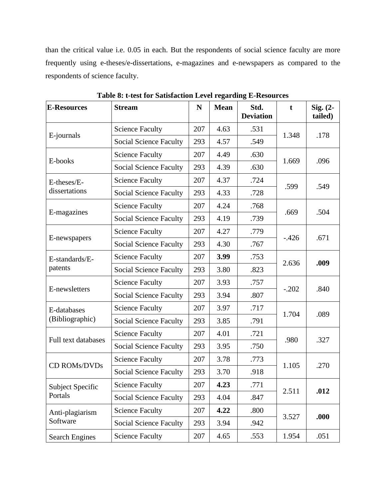than the critical value i.e. 0.05 in each. But the respondents of social science faculty are more frequently using e-theses/e-dissertations, e-magazines and e-newspapers as compared to the respondents of science faculty.

| <b>E-Resources</b>    | <b>Stream</b>                 | N   | <b>Mean</b> | Std.<br><b>Deviation</b> | $\mathbf t$ | Sig. $(2-$<br>tailed) |
|-----------------------|-------------------------------|-----|-------------|--------------------------|-------------|-----------------------|
|                       | <b>Science Faculty</b>        | 207 | 4.63        | .531                     | 1.348       |                       |
| E-journals            | <b>Social Science Faculty</b> | 293 | 4.57        | .549                     |             | .178                  |
| E-books               | <b>Science Faculty</b>        | 207 | 4.49        | .630                     | 1.669       | .096                  |
|                       | <b>Social Science Faculty</b> | 293 | 4.39        | .630                     |             |                       |
| E-theses/E-           | <b>Science Faculty</b>        | 207 | 4.37        | .724                     |             | .549                  |
| dissertations         | <b>Social Science Faculty</b> | 293 | 4.33        | .728                     | .599        |                       |
|                       | <b>Science Faculty</b>        | 207 | 4.24        | .768                     |             | .504                  |
| E-magazines           | Social Science Faculty        | 293 | 4.19        | .739                     | .669        |                       |
|                       | <b>Science Faculty</b>        | 207 | 4.27        | .779                     | $-.426$     | .671                  |
| E-newspapers          | <b>Social Science Faculty</b> | 293 | 4.30        | .767                     |             |                       |
| E-standards/E-        | <b>Science Faculty</b>        | 207 | 3.99        | .753                     | 2.636       | .009                  |
| patents               | <b>Social Science Faculty</b> | 293 | 3.80        | .823                     |             |                       |
| E-newsletters         | <b>Science Faculty</b>        | 207 | 3.93        | .757                     | $-.202$     | .840                  |
|                       | <b>Social Science Faculty</b> | 293 | 3.94        | .807                     |             |                       |
| E-databases           | <b>Science Faculty</b>        | 207 | 3.97        | .717                     |             | .089                  |
| (Bibliographic)       | <b>Social Science Faculty</b> | 293 | 3.85        | .791                     | 1.704       |                       |
| Full text databases   | <b>Science Faculty</b>        | 207 | 4.01        | .721                     | .980        | .327                  |
|                       | <b>Social Science Faculty</b> | 293 | 3.95        | .750                     |             |                       |
| CD ROMs/DVDs          | <b>Science Faculty</b>        | 207 | 3.78        | .773                     | 1.105       | .270                  |
|                       | <b>Social Science Faculty</b> | 293 | 3.70        | .918                     |             |                       |
| Subject Specific      | <b>Science Faculty</b>        | 207 | 4.23        | .771                     | 2.511       | .012                  |
| Portals               | <b>Social Science Faculty</b> | 293 | 4.04        | .847                     |             |                       |
| Anti-plagiarism       | <b>Science Faculty</b>        | 207 | 4.22        | .800                     |             | .000                  |
| Software              | <b>Social Science Faculty</b> | 293 | 3.94        | .942                     | 3.527       |                       |
| <b>Search Engines</b> | <b>Science Faculty</b>        | 207 | 4.65        | .553                     | 1.954       | .051                  |

**Table 8: t-test for Satisfaction Level regarding E-Resources**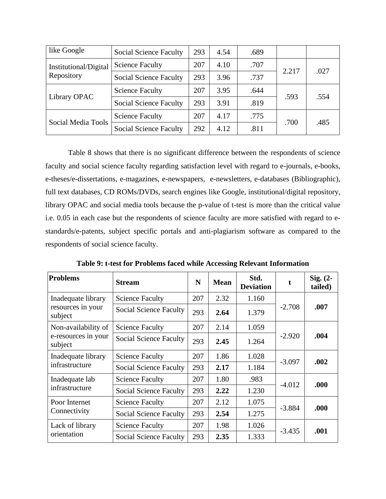| like Google                         | <b>Social Science Faculty</b> | 293 | 4.54 | .689 |       |      |
|-------------------------------------|-------------------------------|-----|------|------|-------|------|
| Institutional/Digital<br>Repository | <b>Science Faculty</b>        | 207 | 4.10 | .707 |       | .027 |
|                                     | <b>Social Science Faculty</b> | 293 | 3.96 | .737 | 2.217 |      |
| Library OPAC                        | <b>Science Faculty</b>        | 207 | 3.95 | .644 | .593  | .554 |
|                                     | <b>Social Science Faculty</b> | 293 | 3.91 | .819 |       |      |
| Social Media Tools                  | <b>Science Faculty</b>        | 207 | 4.17 | .775 |       |      |
|                                     | <b>Social Science Faculty</b> | 292 | 4.12 | .811 | .700  | .485 |

Table 8 shows that there is no significant difference between the respondents of science faculty and social science faculty regarding satisfaction level with regard to e-journals, e-books, e-theses/e-dissertations, e-magazines, e-newspapers, e-newsletters, e-databases (Bibliographic), full text databases, CD ROMs/DVDs, search engines like Google, institutional/digital repository, library OPAC and social media tools because the p-value of t-test is more than the critical value i.e. 0.05 in each case but the respondents of science faculty are more satisfied with regard to estandards/e-patents, subject specific portals and anti-plagiarism software as compared to the respondents of social science faculty.

| <b>Problems</b>                                       | <b>Stream</b>                 | N   | <b>Mean</b> | Std.<br><b>Deviation</b> | t        | Sig. $(2-$<br>tailed) |
|-------------------------------------------------------|-------------------------------|-----|-------------|--------------------------|----------|-----------------------|
| Inadequate library<br>resources in your<br>subject    | <b>Science Faculty</b>        | 207 | 2.32        | 1.160                    |          |                       |
|                                                       | <b>Social Science Faculty</b> | 293 | 2.64        | 1.379                    | $-2.708$ | .007                  |
| Non-availability of<br>e-resources in your<br>subject | <b>Science Faculty</b>        | 207 | 2.14        | 1.059                    | $-2.920$ |                       |
|                                                       | <b>Social Science Faculty</b> | 293 | 2.45        | 1.264                    |          | .004                  |
| Inadequate library<br>infrastructure                  | <b>Science Faculty</b>        | 207 | 1.86        | 1.028                    | $-3.097$ | .002                  |
|                                                       | <b>Social Science Faculty</b> | 293 | 2.17        | 1.184                    |          |                       |
| Inadequate lab<br>infrastructure                      | <b>Science Faculty</b>        | 207 | 1.80        | .983                     | $-4.012$ | .000                  |
|                                                       | <b>Social Science Faculty</b> | 293 | 2.22        | 1.230                    |          |                       |
| Poor Internet<br>Connectivity                         | <b>Science Faculty</b>        | 207 | 2.12        | 1.075                    | $-3.884$ | .000                  |
|                                                       | <b>Social Science Faculty</b> | 293 | 2.54        | 1.275                    |          |                       |
| Lack of library<br>orientation                        | <b>Science Faculty</b>        | 207 | 1.98        | 1.026                    | $-3.435$ | .001                  |
|                                                       | <b>Social Science Faculty</b> | 293 | 2.35        | 1.333                    |          |                       |

**Table 9: t-test for Problems faced while Accessing Relevant Information**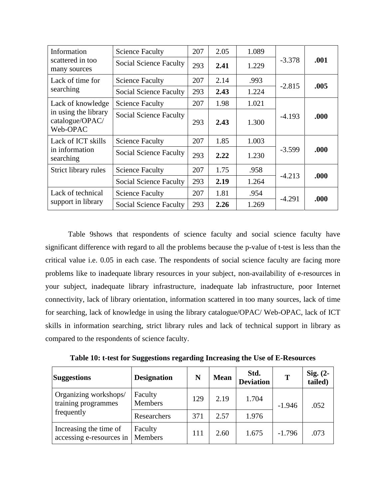| Information<br>scattered in too<br>many sources                          | <b>Science Faculty</b>        | 207 | 2.05 | 1.089 |          |      |
|--------------------------------------------------------------------------|-------------------------------|-----|------|-------|----------|------|
|                                                                          | <b>Social Science Faculty</b> | 293 | 2.41 | 1.229 | $-3.378$ | .001 |
| Lack of time for                                                         | <b>Science Faculty</b>        | 207 | 2.14 | .993  | $-2.815$ | .005 |
| searching                                                                | <b>Social Science Faculty</b> | 293 | 2.43 | 1.224 |          |      |
| Lack of knowledge<br>in using the library<br>catalogue/OPAC/<br>Web-OPAC | <b>Science Faculty</b>        | 207 | 1.98 | 1.021 |          |      |
|                                                                          | <b>Social Science Faculty</b> | 293 | 2.43 | 1.300 | $-4.193$ | .000 |
| Lack of ICT skills<br>in information<br>searching                        | <b>Science Faculty</b>        | 207 | 1.85 | 1.003 |          | .000 |
|                                                                          | <b>Social Science Faculty</b> | 293 | 2.22 | 1.230 | $-3.599$ |      |
| Strict library rules                                                     | <b>Science Faculty</b>        | 207 | 1.75 | .958  | $-4.213$ | .000 |
|                                                                          | <b>Social Science Faculty</b> | 293 | 2.19 | 1.264 |          |      |
| Lack of technical<br>support in library                                  | <b>Science Faculty</b>        | 207 | 1.81 | .954  |          | .000 |
|                                                                          | <b>Social Science Faculty</b> | 293 | 2.26 | 1.269 | $-4.291$ |      |

Table 9shows that respondents of science faculty and social science faculty have significant difference with regard to all the problems because the p-value of t-test is less than the critical value i.e. 0.05 in each case. The respondents of social science faculty are facing more problems like to inadequate library resources in your subject, non-availability of e-resources in your subject, inadequate library infrastructure, inadequate lab infrastructure, poor Internet connectivity, lack of library orientation, information scattered in too many sources, lack of time for searching, lack of knowledge in using the library catalogue/OPAC/ Web-OPAC, lack of ICT skills in information searching, strict library rules and lack of technical support in library as compared to the respondents of science faculty.

**Table 10: t-test for Suggestions regarding Increasing the Use of E-Resources**

| <b>Suggestions</b>                                         | <b>Designation</b>        | N   | <b>Mean</b> | Std.<br><b>Deviation</b> | T        | Sig. $(2-$<br>tailed) |
|------------------------------------------------------------|---------------------------|-----|-------------|--------------------------|----------|-----------------------|
| Organizing workshops/<br>training programmes<br>frequently | Faculty<br><b>Members</b> | 129 | 2.19        | 1.704                    | $-1.946$ | .052                  |
|                                                            | Researchers               | 371 | 2.57        | 1.976                    |          |                       |
| Increasing the time of<br>accessing e-resources in         | Faculty<br>Members        | 111 | 2.60        | 1.675                    | $-1.796$ | .073                  |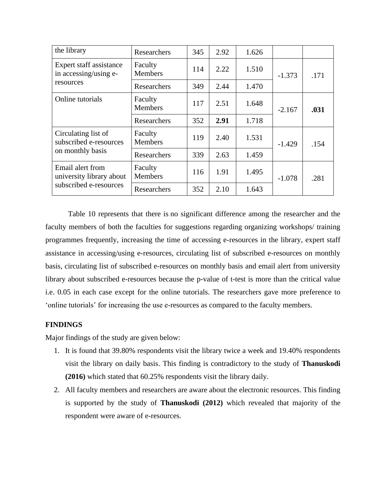| the library                                                            | Researchers               | 345 | 2.92 | 1.626 |          |      |
|------------------------------------------------------------------------|---------------------------|-----|------|-------|----------|------|
| Expert staff assistance<br>in accessing/using e-<br>resources          | Faculty<br><b>Members</b> | 114 | 2.22 | 1.510 | $-1.373$ | .171 |
|                                                                        | Researchers               | 349 | 2.44 | 1.470 |          |      |
| Online tutorials                                                       | Faculty<br><b>Members</b> | 117 | 2.51 | 1.648 | $-2.167$ | .031 |
|                                                                        | Researchers               | 352 | 2.91 | 1.718 |          |      |
| Circulating list of<br>subscribed e-resources<br>on monthly basis      | Faculty<br><b>Members</b> | 119 | 2.40 | 1.531 | $-1.429$ | .154 |
|                                                                        | Researchers               | 339 | 2.63 | 1.459 |          |      |
| Email alert from<br>university library about<br>subscribed e-resources | Faculty<br><b>Members</b> | 116 | 1.91 | 1.495 | $-1.078$ | .281 |
|                                                                        | Researchers               | 352 | 2.10 | 1.643 |          |      |

Table 10 represents that there is no significant difference among the researcher and the faculty members of both the faculties for suggestions regarding organizing workshops/ training programmes frequently, increasing the time of accessing e-resources in the library, expert staff assistance in accessing/using e-resources, circulating list of subscribed e-resources on monthly basis, circulating list of subscribed e-resources on monthly basis and email alert from university library about subscribed e-resources because the p-value of t-test is more than the critical value i.e. 0.05 in each case except for the online tutorials. The researchers gave more preference to 'online tutorials' for increasing the use e-resources as compared to the faculty members.

# **FINDINGS**

Major findings of the study are given below:

- 1. It is found that 39.80% respondents visit the library twice a week and 19.40% respondents visit the library on daily basis. This finding is contradictory to the study of **Thanuskodi (2016)** which stated that 60.25% respondents visit the library daily.
- 2. All faculty members and researchers are aware about the electronic resources. This finding is supported by the study of **Thanuskodi (2012)** which revealed that majority of the respondent were aware of e-resources.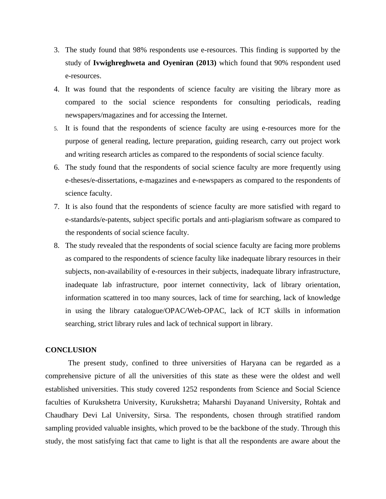- 3. The study found that 98% respondents use e-resources. This finding is supported by the study of **Ivwighreghweta and Oyeniran (2013)** which found that 90% respondent used e-resources.
- 4. It was found that the respondents of science faculty are visiting the library more as compared to the social science respondents for consulting periodicals, reading newspapers/magazines and for accessing the Internet.
- 5. It is found that the respondents of science faculty are using e-resources more for the purpose of general reading, lecture preparation, guiding research, carry out project work and writing research articles as compared to the respondents of social science faculty.
- 6. The study found that the respondents of social science faculty are more frequently using e-theses/e-dissertations, e-magazines and e-newspapers as compared to the respondents of science faculty.
- 7. It is also found that the respondents of science faculty are more satisfied with regard to e-standards/e-patents, subject specific portals and anti-plagiarism software as compared to the respondents of social science faculty.
- 8. The study revealed that the respondents of social science faculty are facing more problems as compared to the respondents of science faculty like inadequate library resources in their subjects, non-availability of e-resources in their subjects, inadequate library infrastructure, inadequate lab infrastructure, poor internet connectivity, lack of library orientation, information scattered in too many sources, lack of time for searching, lack of knowledge in using the library catalogue/OPAC/Web-OPAC, lack of ICT skills in information searching, strict library rules and lack of technical support in library.

## **CONCLUSION**

The present study, confined to three universities of Haryana can be regarded as a comprehensive picture of all the universities of this state as these were the oldest and well established universities. This study covered 1252 respondents from Science and Social Science faculties of Kurukshetra University, Kurukshetra; Maharshi Dayanand University, Rohtak and Chaudhary Devi Lal University, Sirsa. The respondents, chosen through stratified random sampling provided valuable insights, which proved to be the backbone of the study. Through this study, the most satisfying fact that came to light is that all the respondents are aware about the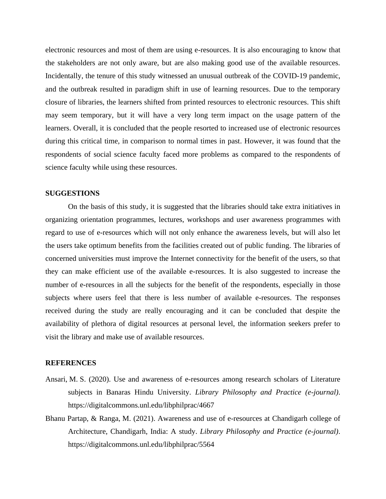electronic resources and most of them are using e-resources. It is also encouraging to know that the stakeholders are not only aware, but are also making good use of the available resources. Incidentally, the tenure of this study witnessed an unusual outbreak of the COVID-19 pandemic, and the outbreak resulted in paradigm shift in use of learning resources. Due to the temporary closure of libraries, the learners shifted from printed resources to electronic resources. This shift may seem temporary, but it will have a very long term impact on the usage pattern of the learners. Overall, it is concluded that the people resorted to increased use of electronic resources during this critical time, in comparison to normal times in past. However, it was found that the respondents of social science faculty faced more problems as compared to the respondents of science faculty while using these resources.

#### **SUGGESTIONS**

On the basis of this study, it is suggested that the libraries should take extra initiatives in organizing orientation programmes, lectures, workshops and user awareness programmes with regard to use of e-resources which will not only enhance the awareness levels, but will also let the users take optimum benefits from the facilities created out of public funding. The libraries of concerned universities must improve the Internet connectivity for the benefit of the users, so that they can make efficient use of the available e-resources. It is also suggested to increase the number of e-resources in all the subjects for the benefit of the respondents, especially in those subjects where users feel that there is less number of available e-resources. The responses received during the study are really encouraging and it can be concluded that despite the availability of plethora of digital resources at personal level, the information seekers prefer to visit the library and make use of available resources.

#### **REFERENCES**

- Ansari, M. S. (2020). Use and awareness of e-resources among research scholars of Literature subjects in Banaras Hindu University. *Library Philosophy and Practice (e-journal)*. https://digitalcommons.unl.edu/libphilprac/4667
- Bhanu Partap, & Ranga, M. (2021). Awareness and use of e-resources at Chandigarh college of Architecture, Chandigarh, India: A study. *Library Philosophy and Practice (e-journal)*. https://digitalcommons.unl.edu/libphilprac/5564